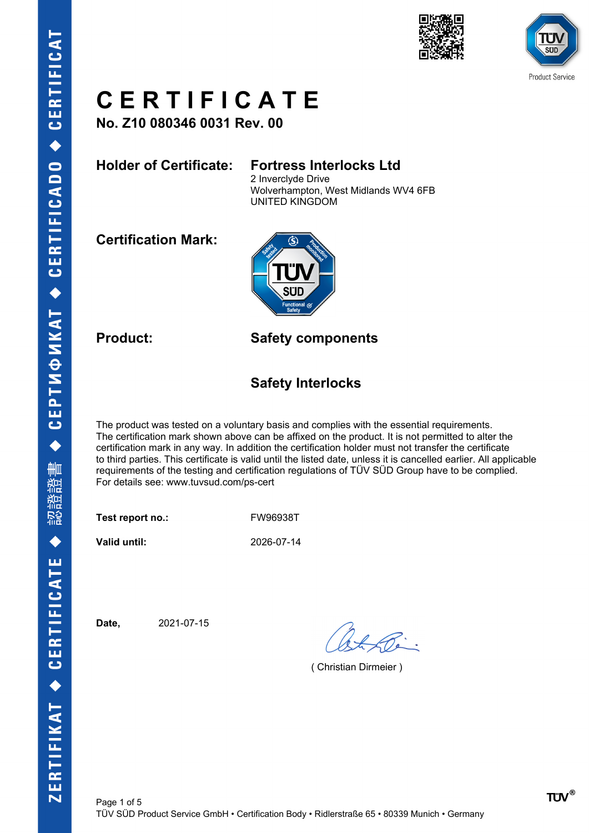



**No. Z10 080346 0031 Rev. 00**

### **Holder of Certificate: Fortress Interlocks Ltd**

2 Inverclyde Drive Wolverhampton, West Midlands WV4 6FB UNITED KINGDOM

**Certification Mark:**



**Product: Safety components**

### **Safety Interlocks**

The product was tested on a voluntary basis and complies with the essential requirements. The certification mark shown above can be affixed on the product. It is not permitted to alter the certification mark in any way. In addition the certification holder must not transfer the certificate to third parties. This certificate is valid until the listed date, unless it is cancelled earlier. All applicable requirements of the testing and certification regulations of TÜV SÜD Group have to be complied. For details see: www.tuvsud.com/ps-cert

Test report no.: FW96938T

**Valid until:** 2026-07-14

**Date,** 2021-07-15

( Christian Dirmeier )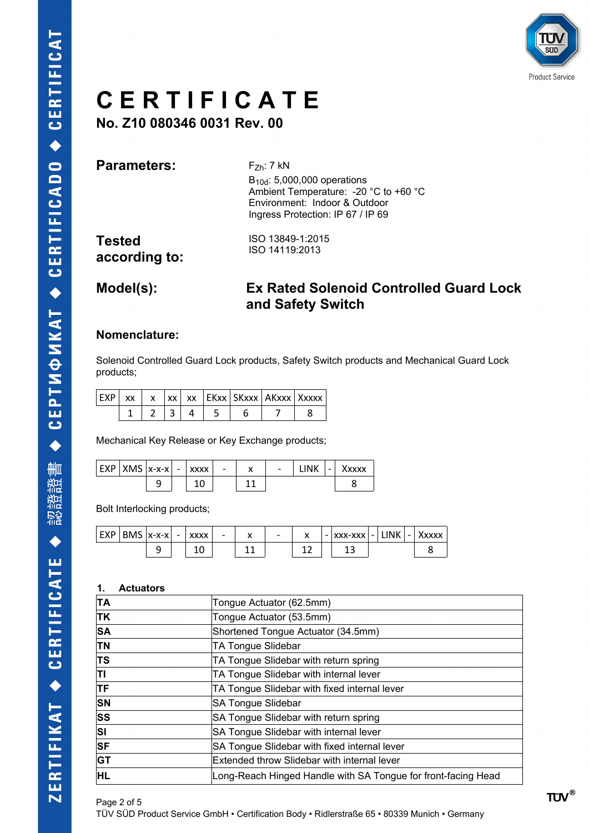

**No. Z10 080346 0031 Rev. 00**

**Parameters:** F<sub>Zh</sub>: 7 kN

B10d: 5,000,000 operations Ambient Temperature: -20 °C to +60 °C Environment: Indoor & Outdoor Ingress Protection: IP 67 / IP 69

**Tested according to:**

ISO 13849-1:2015 ISO 14119:2013

### **Model(s): Ex Rated Solenoid Controlled Guard Lock and Safety Switch**

### **Nomenclature:**

Solenoid Controlled Guard Lock products, Safety Switch products and Mechanical Guard Lock products;

| <b>FYD</b> | XX |  |  | xx   xx   EKxx   SKxxx   AKxxx   Xxxxx |  |
|------------|----|--|--|----------------------------------------|--|
|            |    |  |  |                                        |  |

Mechanical Key Release or Key Exchange products;

| $ $ EXP $ $ XMS $ x$ -x-x $ $ |   | $\overline{\phantom{a}}$ | <b>XXXX</b> | $\overline{\phantom{a}}$ | $\overline{\phantom{0}}$ | <b>INK</b> | $\overline{\phantom{0}}$ | `xxxx |
|-------------------------------|---|--------------------------|-------------|--------------------------|--------------------------|------------|--------------------------|-------|
|                               | ی |                          |             |                          |                          |            |                          |       |

Bolt Interlocking products;

| EXP   BMS  x-x-x    - |   | <b>XXXX</b> | $\overline{\phantom{0}}$ | $\overline{\phantom{0}}$ |  | -   XXX-XXX   - | <b>LINK</b> | $\sim$ | <b>XXXX</b> |
|-----------------------|---|-------------|--------------------------|--------------------------|--|-----------------|-------------|--------|-------------|
|                       | - | c           |                          |                          |  |                 |             |        |             |

#### **1. Actuators**

| ΤA        | Tongue Actuator (62.5mm)                                      |
|-----------|---------------------------------------------------------------|
| <b>TK</b> | Tongue Actuator (53.5mm)                                      |
| <b>SA</b> | Shortened Tongue Actuator (34.5mm)                            |
| <b>TN</b> | TA Tongue Slidebar                                            |
| ΙTS       | TA Tongue Slidebar with return spring                         |
| TI        | TA Tongue Slidebar with internal lever                        |
| <b>TF</b> | TA Tongue Slidebar with fixed internal lever                  |
| <b>SN</b> | <b>SA Tongue Slidebar</b>                                     |
| lss       | SA Tongue Slidebar with return spring                         |
| lsı       | SA Tongue Slidebar with internal lever                        |
| <b>SF</b> | SA Tongue Slidebar with fixed internal lever                  |
| <b>GT</b> | Extended throw Slidebar with internal lever                   |
| HL        | Long-Reach Hinged Handle with SA Tongue for front-facing Head |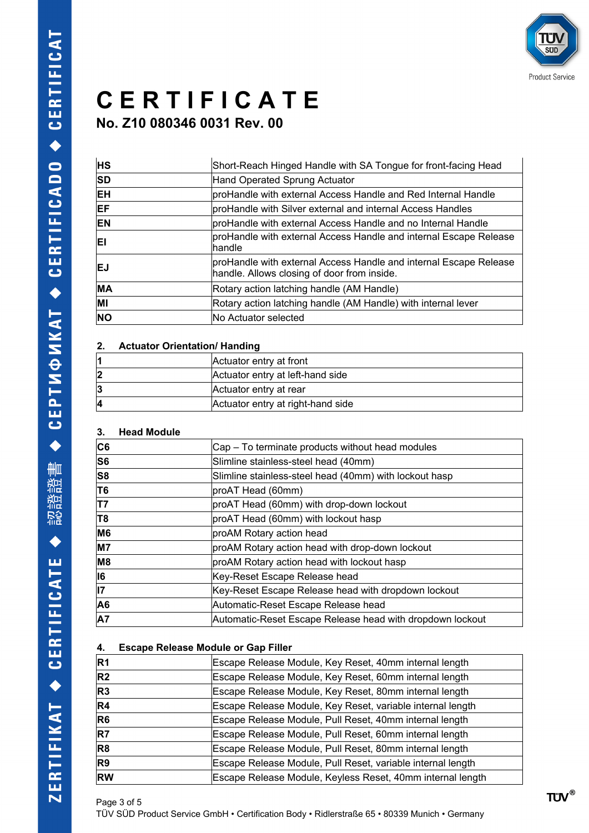

**No. Z10 080346 0031 Rev. 00**

| <b>HS</b> | Short-Reach Hinged Handle with SA Tongue for front-facing Head                                                   |
|-----------|------------------------------------------------------------------------------------------------------------------|
| <b>SD</b> | Hand Operated Sprung Actuator                                                                                    |
| IEH.      | proHandle with external Access Handle and Red Internal Handle                                                    |
| EF        | proHandle with Silver external and internal Access Handles                                                       |
| EN        | proHandle with external Access Handle and no Internal Handle                                                     |
| ΕI        | proHandle with external Access Handle and internal Escape Release<br>lhandle                                     |
| EJ        | proHandle with external Access Handle and internal Escape Release<br>handle. Allows closing of door from inside. |
| <b>MA</b> | Rotary action latching handle (AM Handle)                                                                        |
| MI        | Rotary action latching handle (AM Handle) with internal lever                                                    |
| <b>NO</b> | lNo Actuator selected                                                                                            |

### **2. Actuator Orientation/ Handing**

| Actuator entry at front           |
|-----------------------------------|
| Actuator entry at left-hand side  |
| Actuator entry at rear            |
| Actuator entry at right-hand side |

### **3. Head Module**

| C6 | Cap – To terminate products without head modules          |
|----|-----------------------------------------------------------|
| S6 | Slimline stainless-steel head (40mm)                      |
| S8 | Slimline stainless-steel head (40mm) with lockout hasp    |
| T6 | proAT Head (60mm)                                         |
| T7 | proAT Head (60mm) with drop-down lockout                  |
| T8 | proAT Head (60mm) with lockout hasp                       |
| M6 | proAM Rotary action head                                  |
| M7 | proAM Rotary action head with drop-down lockout           |
| M8 | proAM Rotary action head with lockout hasp                |
| 16 | Key-Reset Escape Release head                             |
| 17 | Key-Reset Escape Release head with dropdown lockout       |
| A6 | Automatic-Reset Escape Release head                       |
| A7 | Automatic-Reset Escape Release head with dropdown lockout |
|    |                                                           |

### **4. Escape Release Module or Gap Filler**

| R <sub>1</sub> | Escape Release Module, Key Reset, 40mm internal length      |
|----------------|-------------------------------------------------------------|
| R <sub>2</sub> | Escape Release Module, Key Reset, 60mm internal length      |
| R <sub>3</sub> | Escape Release Module, Key Reset, 80mm internal length      |
| R4             | Escape Release Module, Key Reset, variable internal length  |
| R6             | Escape Release Module, Pull Reset, 40mm internal length     |
| R7             | Escape Release Module, Pull Reset, 60mm internal length     |
| R <sub>8</sub> | Escape Release Module, Pull Reset, 80mm internal length     |
| R <sub>9</sub> | Escape Release Module, Pull Reset, variable internal length |
| <b>RW</b>      | Escape Release Module, Keyless Reset, 40mm internal length  |
|                |                                                             |

Page 3 of 5 TÜV SÜD Product Service GmbH • Certification Body • Ridlerstraße 65 • 80339 Munich • Germany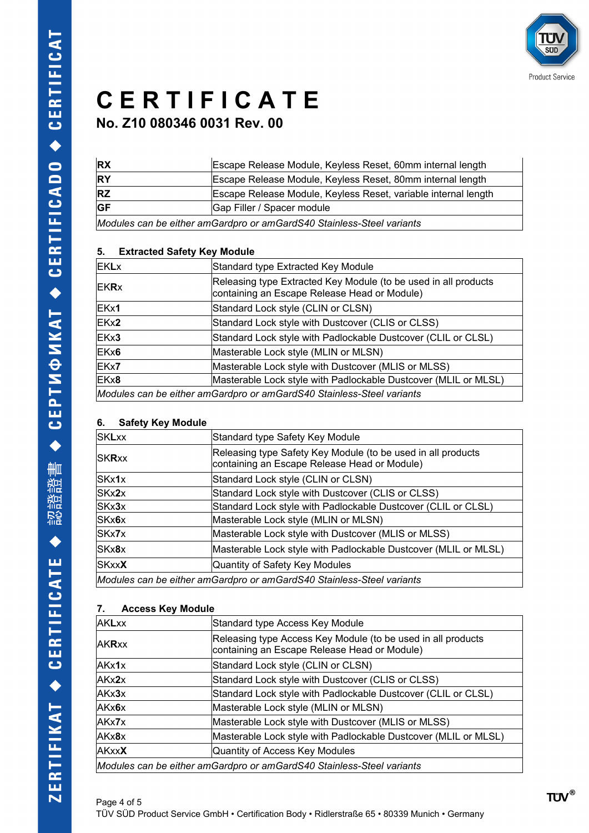

**No. Z10 080346 0031 Rev. 00**

| <b>IRX</b>                                                            | Escape Release Module, Keyless Reset, 60mm internal length     |  |  |
|-----------------------------------------------------------------------|----------------------------------------------------------------|--|--|
| <b>RY</b>                                                             | Escape Release Module, Keyless Reset, 80mm internal length     |  |  |
| <b>RZ</b>                                                             | Escape Release Module, Keyless Reset, variable internal length |  |  |
| <b>GF</b>                                                             | Gap Filler / Spacer module                                     |  |  |
| Modules can be either amGardpro or amGardS40 Stainless-Steel variants |                                                                |  |  |

### **5. Extracted Safety Key Module**

| <b>EKL</b> x | Standard type Extracted Key Module                                                                              |
|--------------|-----------------------------------------------------------------------------------------------------------------|
| <b>EKR</b> x | Releasing type Extracted Key Module (to be used in all products<br>containing an Escape Release Head or Module) |
| EKx1         | Standard Lock style (CLIN or CLSN)                                                                              |
| EKx2         | Standard Lock style with Dustcover (CLIS or CLSS)                                                               |
| EKx3         | Standard Lock style with Padlockable Dustcover (CLIL or CLSL)                                                   |
| EKx6         | Masterable Lock style (MLIN or MLSN)                                                                            |
| EKx7         | Masterable Lock style with Dustcover (MLIS or MLSS)                                                             |
| EKx8         | Masterable Lock style with Padlockable Dustcover (MLIL or MLSL)                                                 |
|              | Modules can be either amGardpro or amGardS40 Stainless-Steel variants                                           |

### **6. Safety Key Module**

| <b>SKLxx</b>  | Standard type Safety Key Module                                                                              |
|---------------|--------------------------------------------------------------------------------------------------------------|
| <b>SKRxx</b>  | Releasing type Safety Key Module (to be used in all products<br>containing an Escape Release Head or Module) |
| SKx1x         | Standard Lock style (CLIN or CLSN)                                                                           |
| SKx2x         | Standard Lock style with Dustcover (CLIS or CLSS)                                                            |
| SKx3x         | Standard Lock style with Padlockable Dustcover (CLIL or CLSL)                                                |
| SKx6x         | Masterable Lock style (MLIN or MLSN)                                                                         |
| SKx7x         | Masterable Lock style with Dustcover (MLIS or MLSS)                                                          |
| SKx8x         | Masterable Lock style with Padlockable Dustcover (MLIL or MLSL)                                              |
| SKxx <b>X</b> | Quantity of Safety Key Modules                                                                               |
|               | Modules can be either amGardpro or amGardS40 Stainless-Steel variants                                        |
|               |                                                                                                              |

| 7.<br><b>Access Key Module</b> |                                                                                                              |  |  |  |  |  |  |
|--------------------------------|--------------------------------------------------------------------------------------------------------------|--|--|--|--|--|--|
| <b>AKLxx</b>                   | Standard type Access Key Module                                                                              |  |  |  |  |  |  |
| <b>AKRxx</b>                   | Releasing type Access Key Module (to be used in all products<br>containing an Escape Release Head or Module) |  |  |  |  |  |  |
| AKx1x                          | Standard Lock style (CLIN or CLSN)                                                                           |  |  |  |  |  |  |
| AKx2x                          | Standard Lock style with Dustcover (CLIS or CLSS)                                                            |  |  |  |  |  |  |
| AKx3x                          | Standard Lock style with Padlockable Dustcover (CLIL or CLSL)                                                |  |  |  |  |  |  |
| AKx6x                          | Masterable Lock style (MLIN or MLSN)                                                                         |  |  |  |  |  |  |
| AKx7x                          | Masterable Lock style with Dustcover (MLIS or MLSS)                                                          |  |  |  |  |  |  |
| AKx8x                          | Masterable Lock style with Padlockable Dustcover (MLIL or MLSL)                                              |  |  |  |  |  |  |
| <b>AKxxX</b>                   | Quantity of Access Key Modules                                                                               |  |  |  |  |  |  |
|                                | Modules can be either amGardpro or amGardS40 Stainless-Steel variants                                        |  |  |  |  |  |  |

### Page 4 of 5 TÜV SÜD Product Service GmbH • Certification Body • Ridlerstraße 65 • 80339 Munich • Germany